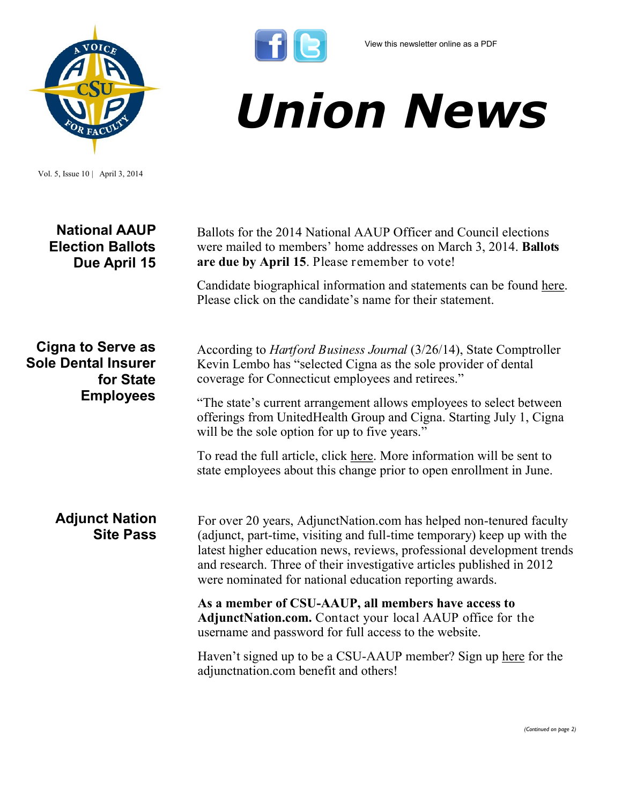

*Union News*

Vol. 5, Issue 10 | April 3, 2014

| <b>National AAUP</b><br><b>Election Ballots</b><br>Due April 15                         | Ballots for the 2014 National AAUP Officer and Council elections<br>were mailed to members' home addresses on March 3, 2014. <b>Ballots</b><br>are due by April 15. Please remember to vote!                                                                                                                                                                 |
|-----------------------------------------------------------------------------------------|--------------------------------------------------------------------------------------------------------------------------------------------------------------------------------------------------------------------------------------------------------------------------------------------------------------------------------------------------------------|
|                                                                                         | Candidate biographical information and statements can be found here.<br>Please click on the candidate's name for their statement.                                                                                                                                                                                                                            |
| <b>Cigna to Serve as</b><br><b>Sole Dental Insurer</b><br>for State<br><b>Employees</b> | According to <i>Hartford Business Journal</i> (3/26/14), State Comptroller<br>Kevin Lembo has "selected Cigna as the sole provider of dental<br>coverage for Connecticut employees and retirees."                                                                                                                                                            |
|                                                                                         | "The state's current arrangement allows employees to select between<br>offerings from UnitedHealth Group and Cigna. Starting July 1, Cigna<br>will be the sole option for up to five years."                                                                                                                                                                 |
|                                                                                         | To read the full article, click here. More information will be sent to<br>state employees about this change prior to open enrollment in June.                                                                                                                                                                                                                |
| <b>Adjunct Nation</b><br><b>Site Pass</b>                                               | For over 20 years, AdjunctNation.com has helped non-tenured faculty<br>(adjunct, part-time, visiting and full-time temporary) keep up with the<br>latest higher education news, reviews, professional development trends<br>and research. Three of their investigative articles published in 2012<br>were nominated for national education reporting awards. |
|                                                                                         | As a member of CSU-AAUP, all members have access to<br>AdjunctNation.com. Contact your local AAUP office for the<br>username and password for full access to the website.                                                                                                                                                                                    |
|                                                                                         | Haven't signed up to be a CSU-AAUP member? Sign up here for the<br>adjunctnation.com benefit and others!                                                                                                                                                                                                                                                     |

 $\mathbf{f}$  $\mathbf{e}$